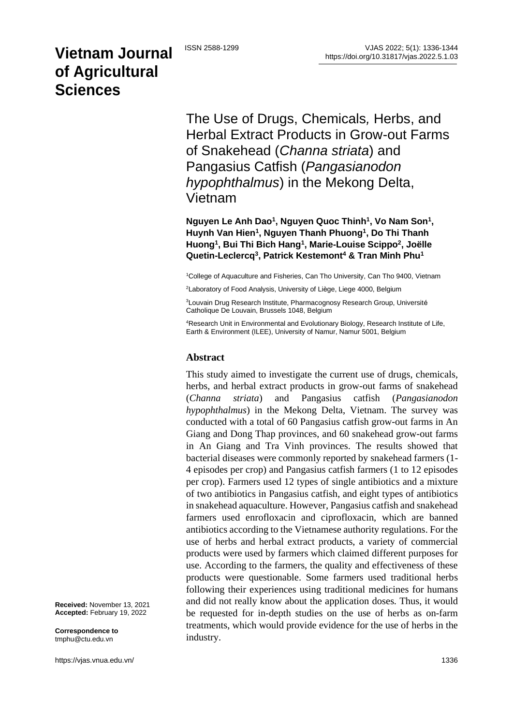# **Vietnam Journal of Agricultural Sciences**

The Use of Drugs, Chemicals*,* Herbs, and Herbal Extract Products in Grow-out Farms of Snakehead (*Channa striata*) and Pangasius Catfish (*Pangasianodon hypophthalmus*) in the Mekong Delta, Vietnam

**Nguyen Le Anh Dao<sup>1</sup> , Nguyen Quoc Thinh<sup>1</sup> , Vo Nam Son<sup>1</sup> , Huynh Van Hien<sup>1</sup> , Nguyen Thanh Phuong<sup>1</sup> , Do Thi Thanh Huong<sup>1</sup> , Bui Thi Bich Hang<sup>1</sup> , Marie-Louise Scippo<sup>2</sup> , Joëlle Quetin-Leclercq<sup>3</sup> , Patrick Kestemont<sup>4</sup> & Tran Minh Phu<sup>1</sup>**

<sup>1</sup>College of Aquaculture and Fisheries, Can Tho University, Can Tho 9400, Vietnam

<sup>2</sup>Laboratory of Food Analysis, University of Liège, Liege 4000, Belgium

<sup>3</sup>Louvain Drug Research Institute, Pharmacognosy Research Group, Université Catholique De Louvain, Brussels 1048, Belgium

<sup>4</sup>Research Unit in Environmental and Evolutionary Biology, Research Institute of Life, Earth & Environment (ILEE), University of Namur, Namur 5001, Belgium

#### **Abstract**

This study aimed to investigate the current use of drugs, chemicals*,*  herbs, and herbal extract products in grow-out farms of snakehead (*Channa striata*) and Pangasius catfish (*Pangasianodon hypophthalmus*) in the Mekong Delta, Vietnam. The survey was conducted with a total of 60 Pangasius catfish grow-out farms in An Giang and Dong Thap provinces, and 60 snakehead grow-out farms in An Giang and Tra Vinh provinces. The results showed that bacterial diseases were commonly reported by snakehead farmers (1- 4 episodes per crop) and Pangasius catfish farmers (1 to 12 episodes per crop). Farmers used 12 types of single antibiotics and a mixture of two antibiotics in Pangasius catfish, and eight types of antibiotics in snakehead aquaculture. However, Pangasius catfish and snakehead farmers used enrofloxacin and ciprofloxacin, which are banned antibiotics according to the Vietnamese authority regulations. For the use of herbs and herbal extract products, a variety of commercial products were used by farmers which claimed different purposes for use. According to the farmers, the quality and effectiveness of these products were questionable. Some farmers used traditional herbs following their experiences using traditional medicines for humans and did not really know about the application doses. Thus, it would be requested for in-depth studies on the use of herbs as on-farm treatments, which would provide evidence for the use of herbs in the industry.

**Received:** November 13, 2021 **Accepted:** February 19, 2022

**Correspondence to**  tmphu@ctu.edu.vn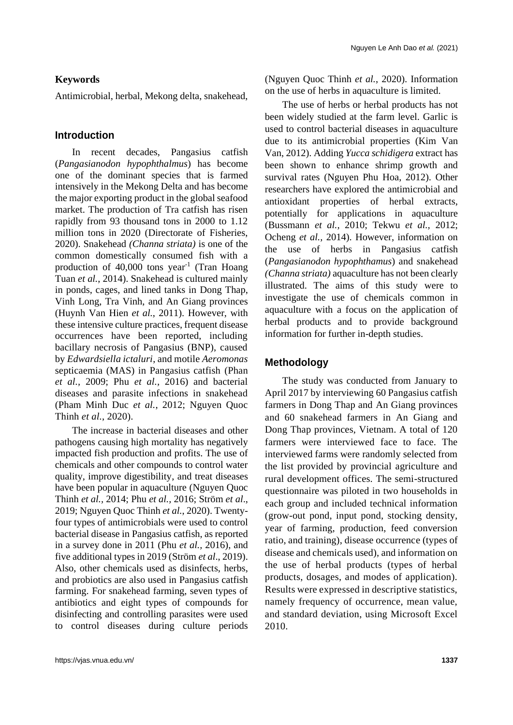#### **Keywords**

Antimicrobial, herbal, Mekong delta, snakehead,

#### **Introduction**

In recent decades, Pangasius catfish (*Pangasianodon hypophthalmus*) has become one of the dominant species that is farmed intensively in the Mekong Delta and has become the major exporting product in the global seafood market. The production of Tra catfish has risen rapidly from 93 thousand tons in 2000 to 1.12 million tons in 2020 (Directorate of Fisheries, 2020). Snakehead *(Channa striata)* is one of the common domestically consumed fish with a production of 40,000 tons year<sup>-1</sup> (Tran Hoang Tuan *et al.*, 2014). Snakehead is cultured mainly in ponds, cages, and lined tanks in Dong Thap, Vinh Long, Tra Vinh, and An Giang provinces (Huynh Van Hien *et al.*, 2011). However, with these intensive culture practices, frequent disease occurrences have been reported, including bacillary necrosis of Pangasius (BNP), caused by *Edwardsiella ictaluri*, and motile *Aeromonas* septicaemia (MAS) in Pangasius catfish (Phan *et al.,* 2009; Phu *et al.,* 2016) and bacterial diseases and parasite infections in snakehead (Pham Minh Duc *et al.*, 2012; Nguyen Quoc Thinh *et al.*, 2020).

The increase in bacterial diseases and other pathogens causing high mortality has negatively impacted fish production and profits. The use of chemicals and other compounds to control water quality, improve digestibility, and treat diseases have been popular in aquaculture (Nguyen Quoc Thinh *et al.,* 2014; Phu *et al.,* 2016; Ström *et al*., 2019; Nguyen Quoc Thinh *et al.*, 2020). Twentyfour types of antimicrobials were used to control bacterial disease in Pangasius catfish, as reported in a survey done in 2011 (Phu *et al.,* 2016), and five additional types in 2019 (Ström *et al*., 2019). Also, other chemicals used as disinfects, herbs, and probiotics are also used in Pangasius catfish farming. For snakehead farming, seven types of antibiotics and eight types of compounds for disinfecting and controlling parasites were used to control diseases during culture periods

(Nguyen Quoc Thinh *et al.*, 2020). Information on the use of herbs in aquaculture is limited.

The use of herbs or herbal products has not been widely studied at the farm level. Garlic is used to control bacterial diseases in aquaculture due to its antimicrobial properties (Kim Van Van, 2012). Adding *Yucca schidigera* extract has been shown to enhance shrimp growth and survival rates (Nguyen Phu Hoa, 2012). Other researchers have explored the antimicrobial and antioxidant properties of herbal extracts, potentially for applications in aquaculture (Bussmann *et al.,* 2010; Tekwu *et al.,* 2012; Ocheng *et al.,* 2014). However, information on the use of herbs in Pangasius catfish (*Pangasianodon hypophthamus*) and snakehead *(Channa striata)* aquaculture has not been clearly illustrated. The aims of this study were to investigate the use of chemicals common in aquaculture with a focus on the application of herbal products and to provide background information for further in-depth studies.

#### **Methodology**

The study was conducted from January to April 2017 by interviewing 60 Pangasius catfish farmers in Dong Thap and An Giang provinces and 60 snakehead farmers in An Giang and Dong Thap provinces, Vietnam. A total of 120 farmers were interviewed face to face. The interviewed farms were randomly selected from the list provided by provincial agriculture and rural development offices. The semi-structured questionnaire was piloted in two households in each group and included technical information (grow-out pond, input pond, stocking density, year of farming, production, feed conversion ratio, and training), disease occurrence (types of disease and chemicals used), and information on the use of herbal products (types of herbal products, dosages, and modes of application). Results were expressed in descriptive statistics, namely frequency of occurrence, mean value, and standard deviation, using Microsoft Excel 2010.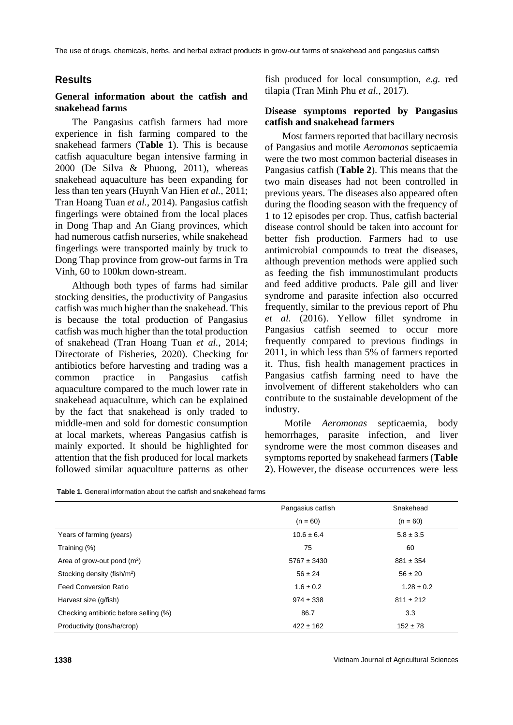The use of drugs, chemicals, herbs, and herbal extract products in grow-out farms of snakehead and pangasius catfish

### **Results**

#### **General information about the catfish and snakehead farms**

The Pangasius catfish farmers had more experience in fish farming compared to the snakehead farmers (**Table 1**). This is because catfish aquaculture began intensive farming in 2000 (De Silva & Phuong, 2011), whereas snakehead aquaculture has been expanding for less than ten years (Huynh Van Hien *et al.*, 2011; Tran Hoang Tuan *et al.*, 2014). Pangasius catfish fingerlings were obtained from the local places in Dong Thap and An Giang provinces, which had numerous catfish nurseries, while snakehead fingerlings were transported mainly by truck to Dong Thap province from grow-out farms in Tra Vinh, 60 to 100km down-stream.

Although both types of farms had similar stocking densities, the productivity of Pangasius catfish was much higher than the snakehead. This is because the total production of Pangasius catfish was much higher than the total production of snakehead (Tran Hoang Tuan *et al.*, 2014; Directorate of Fisheries, 2020). Checking for antibiotics before harvesting and trading was a common practice in Pangasius catfish aquaculture compared to the much lower rate in snakehead aquaculture, which can be explained by the fact that snakehead is only traded to middle-men and sold for domestic consumption at local markets, whereas Pangasius catfish is mainly exported. It should be highlighted for attention that the fish produced for local markets followed similar aquaculture patterns as other

fish produced for local consumption, *e.g.* red tilapia (Tran Minh Phu *et al.*, 2017).

#### **Disease symptoms reported by Pangasius catfish and snakehead farmers**

Most farmers reported that bacillary necrosis of Pangasius and motile *Aeromonas* septicaemia were the two most common bacterial diseases in Pangasius catfish (**Table 2**). This means that the two main diseases had not been controlled in previous years. The diseases also appeared often during the flooding season with the frequency of 1 to 12 episodes per crop. Thus, catfish bacterial disease control should be taken into account for better fish production. Farmers had to use antimicrobial compounds to treat the diseases, although prevention methods were applied such as feeding the fish immunostimulant products and feed additive products. Pale gill and liver syndrome and parasite infection also occurred frequently, similar to the previous report of Phu *et al.* (2016). Yellow fillet syndrome in Pangasius catfish seemed to occur more frequently compared to previous findings in 2011, in which less than 5% of farmers reported it. Thus, fish health management practices in Pangasius catfish farming need to have the involvement of different stakeholders who can contribute to the sustainable development of the industry.

Motile *Aeromonas* septicaemia, body hemorrhages, parasite infection, and liver syndrome were the most common diseases and symptoms reported by snakehead farmers (**Table 2**). However, the disease occurrences were less

| <b>Table 1.</b> General information about the catfish and snakehead farms |
|---------------------------------------------------------------------------|
|---------------------------------------------------------------------------|

|                                         | Pangasius catfish | Snakehead      |
|-----------------------------------------|-------------------|----------------|
|                                         | $(n = 60)$        | $(n = 60)$     |
| Years of farming (years)                | $10.6 \pm 6.4$    | $5.8 \pm 3.5$  |
| Training (%)                            | 75                | 60             |
| Area of grow-out pond $(m^2)$           | $5767 \pm 3430$   | $881 \pm 354$  |
| Stocking density (fish/m <sup>2</sup> ) | $56 \pm 24$       | $56 \pm 20$    |
| <b>Feed Conversion Ratio</b>            | $1.6 \pm 0.2$     | $1.28 \pm 0.2$ |
| Harvest size (g/fish)                   | $974 \pm 338$     | $811 \pm 212$  |
| Checking antibiotic before selling (%)  | 86.7              | 3.3            |
| Productivity (tons/ha/crop)             | $422 \pm 162$     | $152 \pm 78$   |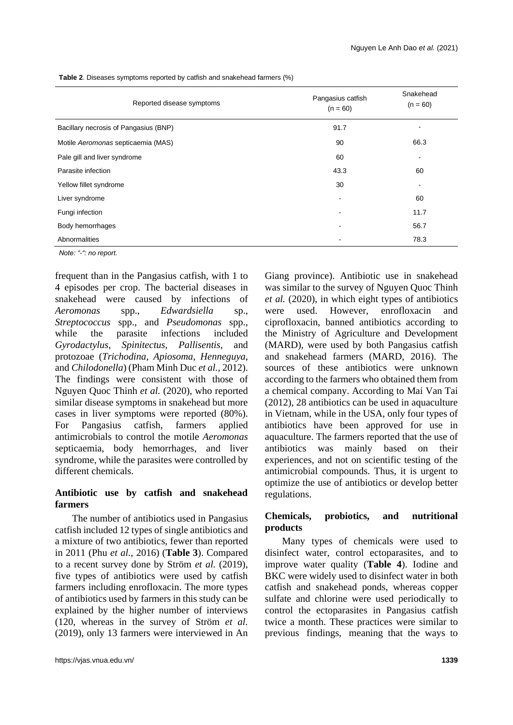| Reported disease symptoms             | Pangasius catfish<br>$(n = 60)$ | Snakehead<br>$(n = 60)$ |
|---------------------------------------|---------------------------------|-------------------------|
| Bacillary necrosis of Pangasius (BNP) | 91.7                            |                         |
| Motile Aeromonas septicaemia (MAS)    | 90                              | 66.3                    |
| Pale gill and liver syndrome          | 60                              | -                       |
| Parasite infection                    | 43.3                            | 60                      |
| Yellow fillet syndrome                | 30                              | -                       |
| Liver syndrome                        |                                 | 60                      |
| Fungi infection                       |                                 | 11.7                    |
| Body hemorrhages                      | ٠                               | 56.7                    |
| Abnormalities                         | $\overline{\phantom{0}}$        | 78.3                    |
| Note: "-" no report.                  |                                 |                         |

**Table 2**. Diseases symptoms reported by catfish and snakehead farmers (%)

frequent than in the Pangasius catfish, with 1 to 4 episodes per crop. The bacterial diseases in snakehead were caused by infections of *Aeromonas* spp., *Edwardsiella* sp., *Streptococcus* spp., and *Pseudomonas* spp., while the parasite infections included *Gyrodactylus*, *Spinitectus*, *Pallisentis*, and protozoae (*Trichodina*, *Apiosoma*, *Henneguya*, and *Chilodonella*) (Pham Minh Duc *et al.,* 2012). The findings were consistent with those of Nguyen Quoc Thinh *et al.* (2020), who reported similar disease symptoms in snakehead but more cases in liver symptoms were reported (80%). For Pangasius catfish, farmers applied antimicrobials to control the motile *Aeromonas* septicaemia, body hemorrhages, and liver syndrome, while the parasites were controlled by different chemicals.

#### **Antibiotic use by catfish and snakehead farmers**

The number of antibiotics used in Pangasius catfish included 12 types of single antibiotics and a mixture of two antibiotics, fewer than reported in 2011 (Phu *et al.*, 2016) (**Table 3**). Compared to a recent survey done by Ström *et al.* (2019), five types of antibiotics were used by catfish farmers including enrofloxacin. The more types of antibiotics used by farmers in this study can be explained by the higher number of interviews (120, whereas in the survey of Ström *et al.* (2019), only 13 farmers were interviewed in An

https://vjas.vnua.edu.vn/ **1339**

Giang province). Antibiotic use in snakehead was similar to the survey of Nguyen Quoc Thinh *et al.* (2020), in which eight types of antibiotics were used. However, enrofloxacin and ciprofloxacin, banned antibiotics according to the Ministry of Agriculture and Development (MARD), were used by both Pangasius catfish and snakehead farmers (MARD, 2016). The sources of these antibiotics were unknown according to the farmers who obtained them from a chemical company. According to Mai Van Tai (2012), 28 antibiotics can be used in aquaculture in Vietnam, while in the USA, only four types of antibiotics have been approved for use in aquaculture. The farmers reported that the use of antibiotics was mainly based on their experiences, and not on scientific testing of the antimicrobial compounds. Thus, it is urgent to optimize the use of antibiotics or develop better regulations.

#### **Chemicals, probiotics, and nutritional products**

Many types of chemicals were used to disinfect water, control ectoparasites, and to improve water quality (**Table 4**). Iodine and BKC were widely used to disinfect water in both catfish and snakehead ponds, whereas copper sulfate and chlorine were used periodically to control the ectoparasites in Pangasius catfish twice a month. These practices were similar to previous findings, meaning that the ways to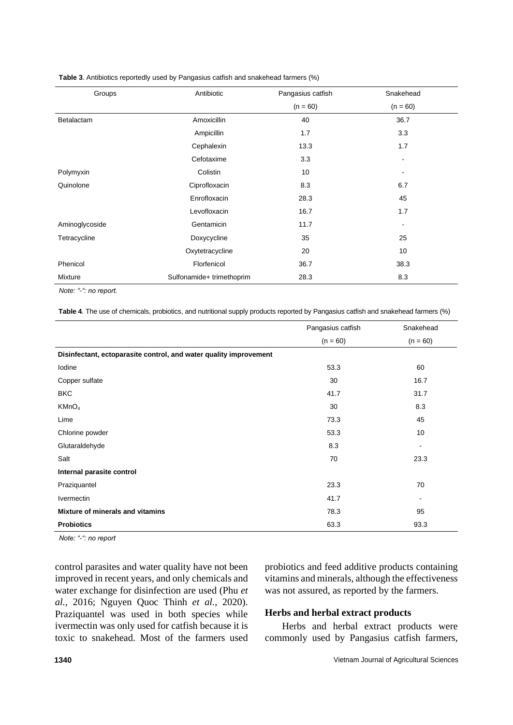| Groups         | Antibiotic                | Pangasius catfish | Snakehead                |
|----------------|---------------------------|-------------------|--------------------------|
|                |                           | $(n = 60)$        | $(n = 60)$               |
| Betalactam     | Amoxicillin               | 40                | 36.7                     |
|                | Ampicillin                | 1.7               | 3.3                      |
|                | Cephalexin                | 13.3              | 1.7                      |
|                | Cefotaxime                | 3.3               | $\blacksquare$           |
| Polymyxin      | Colistin                  | 10                | $\overline{\phantom{a}}$ |
| Quinolone      | Ciprofloxacin             | 8.3               | 6.7                      |
|                | Enrofloxacin              | 28.3              | 45                       |
|                | Levofloxacin              | 16.7              | 1.7                      |
| Aminoglycoside | Gentamicin                | 11.7              | $\blacksquare$           |
| Tetracycline   | Doxycycline               | 35                | 25                       |
|                | Oxytetracycline           | 20                | 10                       |
| Phenicol       | Florfenicol               | 36.7              | 38.3                     |
| Mixture        | Sulfonamide+ trimethoprim | 28.3              | 8.3                      |

#### **Table 3**. Antibiotics reportedly used by Pangasius catfish and snakehead farmers (%)

 *Note: "-": no report.*

 **Table 4**. The use of chemicals, probiotics, and nutritional supply products reported by Pangasius catfish and snakehead farmers (%)

|                                                                   | Pangasius catfish | Snakehead  |
|-------------------------------------------------------------------|-------------------|------------|
|                                                                   | $(n = 60)$        | $(n = 60)$ |
| Disinfectant, ectoparasite control, and water quality improvement |                   |            |
| Iodine                                                            | 53.3              | 60         |
| Copper sulfate                                                    | 30                | 16.7       |
| <b>BKC</b>                                                        | 41.7              | 31.7       |
| KMnO <sub>4</sub>                                                 | 30                | 8.3        |
| Lime                                                              | 73.3              | 45         |
| Chlorine powder                                                   | 53.3              | 10         |
| Glutaraldehyde                                                    | 8.3               | ۰          |
| Salt                                                              | 70                | 23.3       |
| Internal parasite control                                         |                   |            |
| Praziquantel                                                      | 23.3              | 70         |
| <b>Ivermectin</b>                                                 | 41.7              |            |
| Mixture of minerals and vitamins                                  | 78.3              | 95         |
| <b>Probiotics</b>                                                 | 63.3              | 93.3       |

 *Note: "-": no report*

control parasites and water quality have not been improved in recent years, and only chemicals and water exchange for disinfection are used (Phu *et al.,* 2016; Nguyen Quoc Thinh *et al.*, 2020). Praziquantel was used in both species while ivermectin was only used for catfish because it is toxic to snakehead. Most of the farmers used

probiotics and feed additive products containing vitamins and minerals, although the effectiveness was not assured, as reported by the farmers.

#### **Herbs and herbal extract products**

Herbs and herbal extract products were commonly used by Pangasius catfish farmers,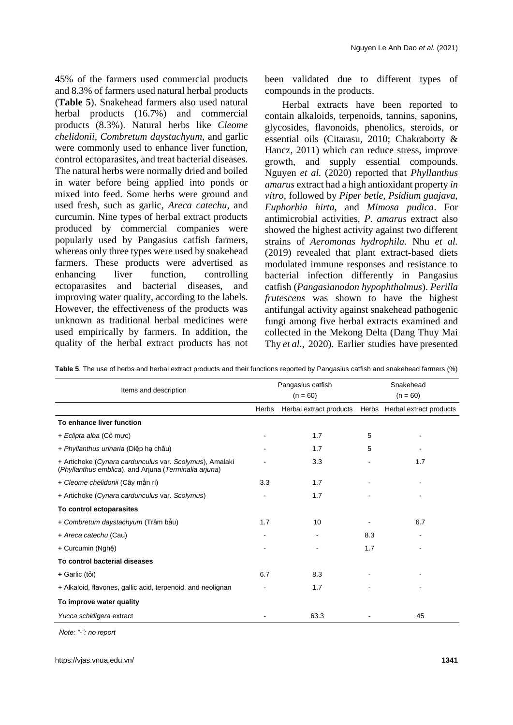45% of the farmers used commercial products and 8.3% of farmers used natural herbal products (**Table 5**). Snakehead farmers also used natural herbal products (16.7%) and commercial products (8.3%). Natural herbs like *Cleome chelidonii*, *Combretum daystachyum*, and garlic were commonly used to enhance liver function, control ectoparasites, and treat bacterial diseases. The natural herbs were normally dried and boiled in water before being applied into ponds or mixed into feed. Some herbs were ground and used fresh, such as garlic, *Areca catechu*, and curcumin. Nine types of herbal extract products produced by commercial companies were popularly used by Pangasius catfish farmers, whereas only three types were used by snakehead farmers. These products were advertised as enhancing liver function, controlling ectoparasites and bacterial diseases, and improving water quality, according to the labels. However, the effectiveness of the products was unknown as traditional herbal medicines were used empirically by farmers. In addition, the quality of the herbal extract products has not

been validated due to different types of compounds in the products.

Herbal extracts have been reported to contain alkaloids, terpenoids, tannins, saponins, glycosides, flavonoids, phenolics, steroids, or essential oils (Citarasu, 2010; Chakraborty & Hancz, 2011) which can reduce stress, improve growth, and supply essential compounds. Nguyen *et al.* (2020) reported that *Phyllanthus amarus* extract had a high antioxidant property *in vitro*, followed by *Piper betle, Psidium guajava, Euphorbia hirta,* and *Mimosa pudica*. For antimicrobial activities, *P. amarus* extract also showed the highest activity against two different strains of *Aeromonas hydrophila*. Nhu *et al.* (2019) revealed that plant extract-based diets modulated immune responses and resistance to bacterial infection differently in Pangasius catfish (*Pangasianodon hypophthalmus*). *Perilla frutescens* was shown to have the highest antifungal activity against snakehead pathogenic fungi among five herbal extracts examined and collected in the Mekong Delta (Dang Thuy Mai Thy *et al.*, 2020). Earlier studies have presented

| Items and description                                                                                            |       | Pangasius catfish       |     | Snakehead                     |
|------------------------------------------------------------------------------------------------------------------|-------|-------------------------|-----|-------------------------------|
|                                                                                                                  |       | $(n = 60)$              |     | $(n = 60)$                    |
|                                                                                                                  | Herbs | Herbal extract products |     | Herbs Herbal extract products |
| To enhance liver function                                                                                        |       |                         |     |                               |
| + Eclipta alba (Co mực)                                                                                          |       | 1.7                     | 5   |                               |
| + Phyllanthus urinaria (Diệp hạ châu)                                                                            |       | 1.7                     | 5   |                               |
| + Artichoke (Cynara cardunculus var. Scolymus), Amalaki<br>(Phyllanthus emblica), and Arjuna (Terminalia arjuna) |       | 3.3                     |     | 1.7                           |
| + Cleome chelidonii (Cây mần ri)                                                                                 | 3.3   | 1.7                     |     |                               |
| + Artichoke (Cynara cardunculus var. Scolymus)                                                                   |       | 1.7                     |     |                               |
| To control ectoparasites                                                                                         |       |                         |     |                               |
| + Combretum daystachyum (Trâm bầu)                                                                               | 1.7   | 10                      |     | 6.7                           |
| + Areca catechu (Cau)                                                                                            |       |                         | 8.3 |                               |
| + Curcumin (Nghệ)                                                                                                |       |                         | 1.7 |                               |
| To control bacterial diseases                                                                                    |       |                         |     |                               |
| + Garlic (tỏi)                                                                                                   | 6.7   | 8.3                     |     |                               |
| + Alkaloid, flavones, gallic acid, terpenoid, and neolignan                                                      |       | 1.7                     |     |                               |
| To improve water quality                                                                                         |       |                         |     |                               |
| Yucca schidigera extract                                                                                         |       | 63.3                    |     | 45                            |

**Table 5**. The use of herbs and herbal extract products and their functions reported by Pangasius catfish and snakehead farmers (%)

 *Note: "-": no report*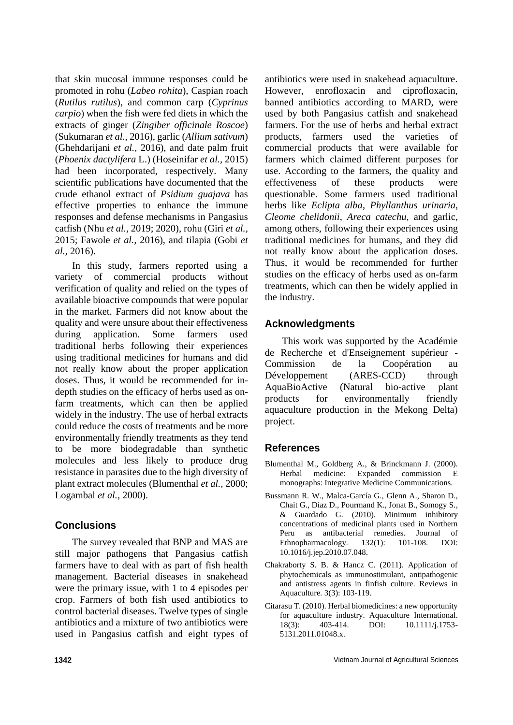that skin mucosal immune responses could be promoted in rohu (*Labeo rohita*), Caspian roach (*Rutilus rutilus*), and common carp (*Cyprinus carpio*) when the fish were fed diets in which the extracts of ginger (*Zingiber officinale Roscoe*) (Sukumaran *et al.,* 2016), garlic (*Allium sativum*) (Ghehdarijani *et al.,* 2016), and date palm fruit (*Phoenix dactylifera* L.) (Hoseinifar *et al.,* 2015) had been incorporated, respectively. Many scientific publications have documented that the crude ethanol extract of *Psidium guajava* has effective properties to enhance the immune responses and defense mechanisms in Pangasius catfish (Nhu *et al.,* 2019; 2020), rohu (Giri *et al.,* 2015; Fawole *et al.,* 2016), and tilapia (Gobi *et al.,* 2016).

In this study, farmers reported using a variety of commercial products without verification of quality and relied on the types of available bioactive compounds that were popular in the market. Farmers did not know about the quality and were unsure about their effectiveness during application. Some farmers used traditional herbs following their experiences using traditional medicines for humans and did not really know about the proper application doses. Thus, it would be recommended for indepth studies on the efficacy of herbs used as onfarm treatments, which can then be applied widely in the industry. The use of herbal extracts could reduce the costs of treatments and be more environmentally friendly treatments as they tend to be more biodegradable than synthetic molecules and less likely to produce drug resistance in parasites due to the high diversity of plant extract molecules (Blumenthal *et al.,* 2000; Logambal *et al.,* 2000).

## **Conclusions**

The survey revealed that BNP and MAS are still major pathogens that Pangasius catfish farmers have to deal with as part of fish health management. Bacterial diseases in snakehead were the primary issue, with 1 to 4 episodes per crop. Farmers of both fish used antibiotics to control bacterial diseases. Twelve types of single antibiotics and a mixture of two antibiotics were used in Pangasius catfish and eight types of antibiotics were used in snakehead aquaculture. However, enrofloxacin and ciprofloxacin, banned antibiotics according to MARD, were used by both Pangasius catfish and snakehead farmers. For the use of herbs and herbal extract products, farmers used the varieties of commercial products that were available for farmers which claimed different purposes for use. According to the farmers, the quality and effectiveness of these products were questionable. Some farmers used traditional herbs like *Eclipta alba*, *Phyllanthus urinaria*, *Cleome chelidonii*, *Areca catechu*, and garlic, among others, following their experiences using traditional medicines for humans, and they did not really know about the application doses. Thus, it would be recommended for further studies on the efficacy of herbs used as on-farm treatments, which can then be widely applied in the industry.

## **Acknowledgments**

This work was supported by the Académie de Recherche et d'Enseignement supérieur - Commission de la Coopération au Développement (ARES-CCD) through AquaBioActive (Natural bio-active plant products for environmentally friendly aquaculture production in the Mekong Delta) project.

## **References**

- Blumenthal M., Goldberg A., & Brinckmann J. (2000). Herbal medicine: Expanded commission E monographs: Integrative Medicine Communications.
- Bussmann R. W., Malca-García G., Glenn A., Sharon D., Chait G., Díaz D., Pourmand K., Jonat B., Somogy S., & Guardado G. (2010). Minimum inhibitory concentrations of medicinal plants used in Northern Peru as antibacterial remedies. Journal of Ethnopharmacology*.* 132(1): 101-108. DOI: 10.1016/j.jep.2010.07.048.
- Chakraborty S. B. & Hancz C. (2011). Application of phytochemicals as immunostimulant, antipathogenic and antistress agents in finfish culture. Reviews in Aquaculture*.* 3(3): 103-119.
- Citarasu T. (2010). Herbal biomedicines: a new opportunity for aquaculture industry. Aquaculture International*.* 18(3): 403-414. DOI: 10.1111/j.1753-5131.2011.01048.x.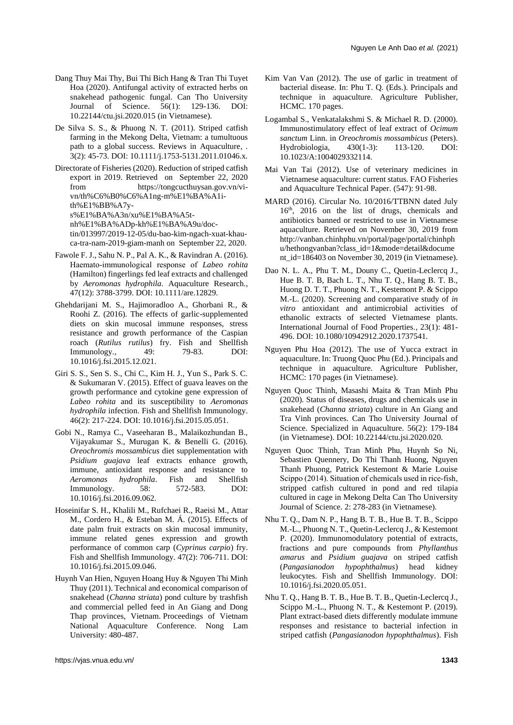- Dang Thuy Mai Thy, Bui Thi Bich Hang & Tran Thi Tuyet Hoa (2020). Antifungal activity of extracted herbs on snakehead pathogenic fungal. Can Tho University Journal of Science. 56(1): 129-136. DOI: 10.22144/ctu.jsi.2020.015 (in Vietnamese).
- De Silva S. S., & Phuong N. T. (2011). Striped catfish farming in the Mekong Delta, Vietnam: a tumultuous path to a global success. Reviews in Aquaculture*, .* 3(2): 45-73. DOI: 10.1111/j.1753-5131.2011.01046.x.
- Directorate of Fisheries (2020). Reduction of striped catfish export in 2019. Retrieved on September 22, 2020 from [https://tongcucthuysan.gov.vn/vi](https://tongcucthuysan.gov.vn/vi-vn/th%C6%B0%C6%A1ng-m%E1%BA%A1i-th%E1%BB%A7y-s%E1%BA%A3n/xu%E1%BA%A5t-nh%E1%BA%ADp-kh%E1%BA%A9u/doc-tin/013997/2019-12-05/du-bao-kim-ngach-xuat-khau-ca-tra-nam-2019-giam-manh)[vn/th%C6%B0%C6%A1ng-m%E1%BA%A1i](https://tongcucthuysan.gov.vn/vi-vn/th%C6%B0%C6%A1ng-m%E1%BA%A1i-th%E1%BB%A7y-s%E1%BA%A3n/xu%E1%BA%A5t-nh%E1%BA%ADp-kh%E1%BA%A9u/doc-tin/013997/2019-12-05/du-bao-kim-ngach-xuat-khau-ca-tra-nam-2019-giam-manh)[th%E1%BB%A7y](https://tongcucthuysan.gov.vn/vi-vn/th%C6%B0%C6%A1ng-m%E1%BA%A1i-th%E1%BB%A7y-s%E1%BA%A3n/xu%E1%BA%A5t-nh%E1%BA%ADp-kh%E1%BA%A9u/doc-tin/013997/2019-12-05/du-bao-kim-ngach-xuat-khau-ca-tra-nam-2019-giam-manh)[s%E1%BA%A3n/xu%E1%BA%A5t](https://tongcucthuysan.gov.vn/vi-vn/th%C6%B0%C6%A1ng-m%E1%BA%A1i-th%E1%BB%A7y-s%E1%BA%A3n/xu%E1%BA%A5t-nh%E1%BA%ADp-kh%E1%BA%A9u/doc-tin/013997/2019-12-05/du-bao-kim-ngach-xuat-khau-ca-tra-nam-2019-giam-manh)[nh%E1%BA%ADp-kh%E1%BA%A9u/doc](https://tongcucthuysan.gov.vn/vi-vn/th%C6%B0%C6%A1ng-m%E1%BA%A1i-th%E1%BB%A7y-s%E1%BA%A3n/xu%E1%BA%A5t-nh%E1%BA%ADp-kh%E1%BA%A9u/doc-tin/013997/2019-12-05/du-bao-kim-ngach-xuat-khau-ca-tra-nam-2019-giam-manh)[tin/013997/2019-12-05/du-bao-kim-ngach-xuat-khau](https://tongcucthuysan.gov.vn/vi-vn/th%C6%B0%C6%A1ng-m%E1%BA%A1i-th%E1%BB%A7y-s%E1%BA%A3n/xu%E1%BA%A5t-nh%E1%BA%ADp-kh%E1%BA%A9u/doc-tin/013997/2019-12-05/du-bao-kim-ngach-xuat-khau-ca-tra-nam-2019-giam-manh)[ca-tra-nam-2019-giam-manh](https://tongcucthuysan.gov.vn/vi-vn/th%C6%B0%C6%A1ng-m%E1%BA%A1i-th%E1%BB%A7y-s%E1%BA%A3n/xu%E1%BA%A5t-nh%E1%BA%ADp-kh%E1%BA%A9u/doc-tin/013997/2019-12-05/du-bao-kim-ngach-xuat-khau-ca-tra-nam-2019-giam-manh) on September 22, 2020.
- Fawole F. J., Sahu N. P., Pal A. K., & Ravindran A. (2016). Haemato‐immunological response of *Labeo rohita* (Hamilton) fingerlings fed leaf extracts and challenged by *Aeromonas hydrophila*. Aquaculture Research*.,* 47(12): 3788-3799. DOI: 10.1111/are.12829.
- Ghehdarijani M. S., Hajimoradloo A., Ghorbani R., & Roohi Z. (2016). The effects of garlic-supplemented diets on skin mucosal immune responses, stress resistance and growth performance of the Caspian roach (*Rutilus rutilus*) fry. Fish and Shellfish Immunology*.,* 49: 79-83. DOI: 10.1016/j.fsi.2015.12.021.
- Giri S. S., Sen S. S., Chi C., Kim H. J., Yun S., Park S. C. & Sukumaran V. (2015). Effect of guava leaves on the growth performance and cytokine gene expression of *Labeo rohita* and its susceptibility to *Aeromonas hydrophila* infection. Fish and Shellfish Immunology*.* 46(2): 217-224. DOI: 10.1016/j.fsi.2015.05.051.
- Gobi N., Ramya C., Vaseeharan B., Malaikozhundan B., Vijayakumar S., Murugan K. & Benelli G. (2016). *Oreochromis mossambicus* diet supplementation with *Psidium guajava* leaf extracts enhance growth, immune, antioxidant response and resistance to *Aeromonas hydrophila*. Fish and Shellfish Immunology*.* 58: 572-583. DOI: 10.1016/j.fsi.2016.09.062.
- Hoseinifar S. H., Khalili M., Rufchaei R., Raeisi M., Attar M., Cordero H., & Esteban M. Á. (2015). Effects of date palm fruit extracts on skin mucosal immunity, immune related genes expression and growth performance of common carp (*Cyprinus carpio*) fry. Fish and Shellfish Immunology*.* 47(2): 706-711. DOI: 10.1016/j.fsi.2015.09.046.
- Huynh Van Hien, Nguyen Hoang Huy & Nguyen Thi Minh Thuy (2011). Technical and economical comparison of snakehead (*Channa striata*) pond culture by trashfish and commercial pelled feed in An Giang and Dong Thap provinces, Vietnam. Proceedings of Vietnam National Aquaculture Conference. Nong Lam University: 480-487.
- Kim Van Van (2012). The use of garlic in treatment of bacterial disease. In: Phu T. Q. (Eds.). Principals and technique in aquaculture. Agriculture Publisher, HCMC. 170 pages.
- Logambal S., Venkatalakshmi S. & Michael R. D. (2000). Immunostimulatory effect of leaf extract of *Ocimum sanctum* Linn. in *Oreochromis mossambicus* (Peters). Hydrobiologia*,* 430(1-3): 113-120. DOI: 10.1023/A:1004029332114.
- Mai Van Tai (2012). Use of veterinary medicines in Vietnamese aquaculture: current status. FAO Fisheries and Aquaculture Technical Paper. (547): 91-98.
- MARD (2016). Circular No. 10/2016/TTBNN dated July 16th, 2016 on the list of drugs, chemicals and antibiotics banned or restricted to use in Vietnamese aquaculture. Retrieved on November 30, 2019 from [http://vanban.chinhphu.vn/portal/page/portal/chinhph](http://vanban.chinhphu.vn/portal/page/portal/chinhphu/hethongvanban?class_id=1&mode=detail&document_id=186403) [u/hethongvanban?class\\_id=1&mode=detail&docume](http://vanban.chinhphu.vn/portal/page/portal/chinhphu/hethongvanban?class_id=1&mode=detail&document_id=186403) [nt\\_id=186403](http://vanban.chinhphu.vn/portal/page/portal/chinhphu/hethongvanban?class_id=1&mode=detail&document_id=186403) on November 30, 2019 (in Vietnamese).
- Dao N. L. A., Phu T. M., Douny C., Ouetin-Leclerca J., Hue B. T. B, Bach L. T., Nhu T. Q., Hang B. T. B., Huong D. T. T., Phuong N. T., Kestemont P. & Scippo M.-L. (2020). Screening and comparative study of *in vitro* antioxidant and antimicrobial activities of ethanolic extracts of selected Vietnamese plants. International Journal of Food Properties*.,* 23(1): 481- 496. DOI: 10.1080/10942912.2020.1737541.
- Nguyen Phu Hoa (2012). The use of Yucca extract in aquaculture. In: Truong Quoc Phu (Ed.). Principals and technique in aquaculture. Agriculture Publisher, HCMC: 170 pages (in Vietnamese).
- Nguyen Quoc Thinh, Masashi Maita & Tran Minh Phu (2020). Status of diseases, drugs and chemicals use in snakehead (*Channa striata*) culture in An Giang and Tra Vinh provinces. Can Tho University Journal of Science. Specialized in Aquaculture. 56(2): 179-184 (in Vietnamese). DOI: 10.22144/ctu.jsi.2020.020.
- Nguyen Quoc Thinh, Tran Minh Phu, Huynh So Ni, Sebastien Quennery, Do Thi Thanh Huong, Nguyen Thanh Phuong, Patrick Kestemont & Marie Louise Scippo (2014). Situation of chemicals used in rice-fish, stripped catfish cultured in pond and red tilapia cultured in cage in Mekong Delta Can Tho University Journal of Science. 2: 278-283 (in Vietnamese).
- Nhu T. Q., Dam N. P., Hang B. T. B., Hue B. T. B., Scippo M.-L., Phuong N. T., Quetin-Leclercq J., & Kestemont P. (2020). Immunomodulatory potential of extracts, fractions and pure compounds from *Phyllanthus amarus* and *Psidium guajava* on striped catfish (*Pangasianodon hypophthalmus*) head kidney leukocytes. Fish and Shellfish Immunology. DOI: 10.1016/j.fsi.2020.05.051.
- Nhu T. Q., Hang B. T. B., Hue B. T. B., Quetin-Leclercq J., Scippo M.-L., Phuong N. T., & Kestemont P. (2019). Plant extract-based diets differently modulate immune responses and resistance to bacterial infection in striped catfish (*Pangasianodon hypophthalmus*). Fish